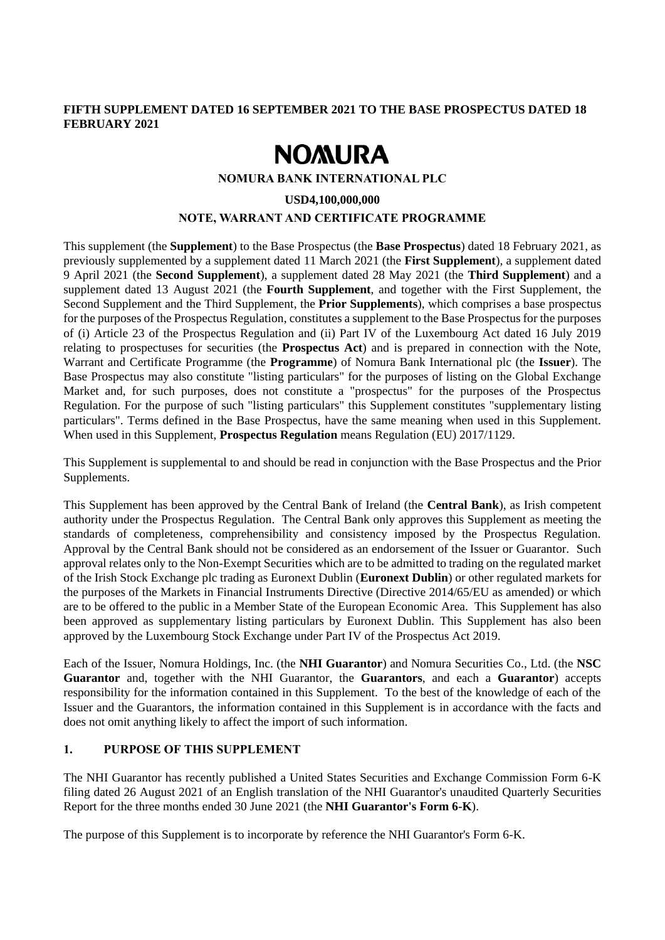## **FIFTH SUPPLEMENT DATED 16 SEPTEMBER 2021 TO THE BASE PROSPECTUS DATED 18 FEBRUARY 2021**

# **NOMURA**

#### **NOMURA BANK INTERNATIONAL PLC**

#### **USD4,100,000,000**

### **NOTE, WARRANT AND CERTIFICATE PROGRAMME**

This supplement (the **Supplement**) to the Base Prospectus (the **Base Prospectus**) dated 18 February 2021, as previously supplemented by a supplement dated 11 March 2021 (the **First Supplement**), a supplement dated 9 April 2021 (the **Second Supplement**), a supplement dated 28 May 2021 (the **Third Supplement**) and a supplement dated 13 August 2021 (the **Fourth Supplement**, and together with the First Supplement, the Second Supplement and the Third Supplement, the **Prior Supplements**), which comprises a base prospectus for the purposes of the Prospectus Regulation, constitutes a supplement to the Base Prospectus for the purposes of (i) Article 23 of the Prospectus Regulation and (ii) Part IV of the Luxembourg Act dated 16 July 2019 relating to prospectuses for securities (the **Prospectus Act**) and is prepared in connection with the Note, Warrant and Certificate Programme (the **Programme**) of Nomura Bank International plc (the **Issuer**). The Base Prospectus may also constitute "listing particulars" for the purposes of listing on the Global Exchange Market and, for such purposes, does not constitute a "prospectus" for the purposes of the Prospectus Regulation. For the purpose of such "listing particulars" this Supplement constitutes "supplementary listing particulars". Terms defined in the Base Prospectus, have the same meaning when used in this Supplement. When used in this Supplement, **Prospectus Regulation** means Regulation (EU) 2017/1129.

This Supplement is supplemental to and should be read in conjunction with the Base Prospectus and the Prior Supplements.

This Supplement has been approved by the Central Bank of Ireland (the **Central Bank**), as Irish competent authority under the Prospectus Regulation. The Central Bank only approves this Supplement as meeting the standards of completeness, comprehensibility and consistency imposed by the Prospectus Regulation. Approval by the Central Bank should not be considered as an endorsement of the Issuer or Guarantor. Such approval relates only to the Non-Exempt Securities which are to be admitted to trading on the regulated market of the Irish Stock Exchange plc trading as Euronext Dublin (**Euronext Dublin**) or other regulated markets for the purposes of the Markets in Financial Instruments Directive (Directive 2014/65/EU as amended) or which are to be offered to the public in a Member State of the European Economic Area. This Supplement has also been approved as supplementary listing particulars by Euronext Dublin. This Supplement has also been approved by the Luxembourg Stock Exchange under Part IV of the Prospectus Act 2019.

Each of the Issuer, Nomura Holdings, Inc. (the **NHI Guarantor**) and Nomura Securities Co., Ltd. (the **NSC Guarantor** and, together with the NHI Guarantor, the **Guarantors**, and each a **Guarantor**) accepts responsibility for the information contained in this Supplement. To the best of the knowledge of each of the Issuer and the Guarantors, the information contained in this Supplement is in accordance with the facts and does not omit anything likely to affect the import of such information.

## **1. PURPOSE OF THIS SUPPLEMENT**

The NHI Guarantor has recently published a United States Securities and Exchange Commission Form 6-K filing dated 26 August 2021 of an English translation of the NHI Guarantor's unaudited Quarterly Securities Report for the three months ended 30 June 2021 (the **NHI Guarantor's Form 6-K**).

The purpose of this Supplement is to incorporate by reference the NHI Guarantor's Form 6-K.